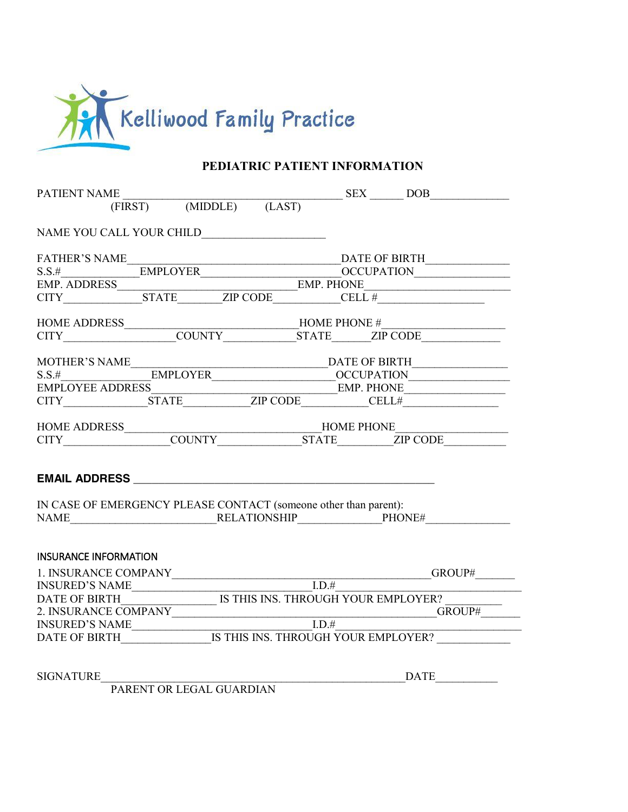

## **PEDIATRIC PATIENT INFORMATION**

|                                                                  | $\begin{tabular}{l} \bf{PATHENT NAME} \\ \hline \multicolumn{2}{c}{\textbf{(FIRST)} \hspace{2.2cm} \bf{(MIDDLE)} \hspace{2.2cm} \bf{(LAST)} \hspace{2.2cm} \bf{DES} \hspace{2.2cm} \bf{DOB} \end{tabular}$                                                                                                                                                                                                                                                                              |
|------------------------------------------------------------------|-----------------------------------------------------------------------------------------------------------------------------------------------------------------------------------------------------------------------------------------------------------------------------------------------------------------------------------------------------------------------------------------------------------------------------------------------------------------------------------------|
|                                                                  |                                                                                                                                                                                                                                                                                                                                                                                                                                                                                         |
|                                                                  |                                                                                                                                                                                                                                                                                                                                                                                                                                                                                         |
|                                                                  |                                                                                                                                                                                                                                                                                                                                                                                                                                                                                         |
|                                                                  |                                                                                                                                                                                                                                                                                                                                                                                                                                                                                         |
|                                                                  |                                                                                                                                                                                                                                                                                                                                                                                                                                                                                         |
|                                                                  | $\begin{tabular}{l c c} \multicolumn{2}{c}{\textbf{FATHEN'S NAME}} \multicolumn{2}{c}{\textbf{NAME}} \multicolumn{2}{c}{\textbf{DATE OF BIRTH}} \multicolumn{2}{c}{\textbf{DATE OF BIRTH}} \multicolumn{2}{c}{\textbf{DATE OF BIRTH}} \multicolumn{2}{c}{\textbf{DATE OF BIRTH}} \multicolumn{2}{c}{\textbf{EMPLOYER}} \multicolumn{2}{c}{\textbf{EMPLOYER}} \multicolumn{2}{c}{\textbf{EMP. PHONE}} \multicolumn{2}{c}{\textbf{EMP. PHONE}} \multicolumn{2}{c}{\textbf{EMP. PHONE}} \$ |
|                                                                  |                                                                                                                                                                                                                                                                                                                                                                                                                                                                                         |
|                                                                  | HOME ADDRESS<br>CITY COUNTY COUNTY COUNTY COUNTY COUNTY COUNTY COUNTY COUNTY COUNTY COUNTY COUNTY COUNTY COUNTY COUNTY COUNTY COUNTY COUNTY COUNTY COUNTY COUNTY COUNTY COUNTY COUNTY COUNTY COUNTY COUNTY COUNTY COUNTY COUNTY                                                                                                                                                                                                                                                         |
|                                                                  |                                                                                                                                                                                                                                                                                                                                                                                                                                                                                         |
|                                                                  | $\begin{tabular}{l} MOTHER'S NAME \hspace{0.3cm} \textbf{MOTHER'S NAME} \hspace{0.3cm} \textbf{DATE OF BIRTH} \hspace{0.3cm} \textbf{DATE OF BIRTH} \hspace{0.3cm} \textbf{MHTO} \end{tabular}$                                                                                                                                                                                                                                                                                         |
|                                                                  |                                                                                                                                                                                                                                                                                                                                                                                                                                                                                         |
|                                                                  | EMPLOYEE ADDRESS EMP. PHONE EMP. PHONE                                                                                                                                                                                                                                                                                                                                                                                                                                                  |
|                                                                  |                                                                                                                                                                                                                                                                                                                                                                                                                                                                                         |
|                                                                  |                                                                                                                                                                                                                                                                                                                                                                                                                                                                                         |
|                                                                  |                                                                                                                                                                                                                                                                                                                                                                                                                                                                                         |
| IN CASE OF EMERGENCY PLEASE CONTACT (someone other than parent): |                                                                                                                                                                                                                                                                                                                                                                                                                                                                                         |
| <b>INSURANCE INFORMATION</b>                                     |                                                                                                                                                                                                                                                                                                                                                                                                                                                                                         |
|                                                                  |                                                                                                                                                                                                                                                                                                                                                                                                                                                                                         |
|                                                                  |                                                                                                                                                                                                                                                                                                                                                                                                                                                                                         |
|                                                                  | 2. INSURANCE COMPANY GROUP# GROUP# GROUP# GROUP# GROUP# GROUP# GROUP# GROUP# GROUP# GROUP# GROUP# GROUP# GROUP# GROUP# GROUP# GROUP# GROUP# GROUP# GROUP# GROUP# GROUP# GROUP# GROUP# GROUP# GROUP# GROUP# GROUP# GROUP# GROUP                                                                                                                                                                                                                                                          |
|                                                                  | INSURED'S NAME<br>DATE OF BIRTH__________________IS THIS INS. THROUGH YOUR EMPLOYER? __________________                                                                                                                                                                                                                                                                                                                                                                                 |
|                                                                  |                                                                                                                                                                                                                                                                                                                                                                                                                                                                                         |
| SIGNATURE                                                        | $\overbrace{\text{DATE}}$                                                                                                                                                                                                                                                                                                                                                                                                                                                               |
| PARENT OR LEGAL GUARDIAN                                         |                                                                                                                                                                                                                                                                                                                                                                                                                                                                                         |

PARENT OR LEGAL GUARDIAN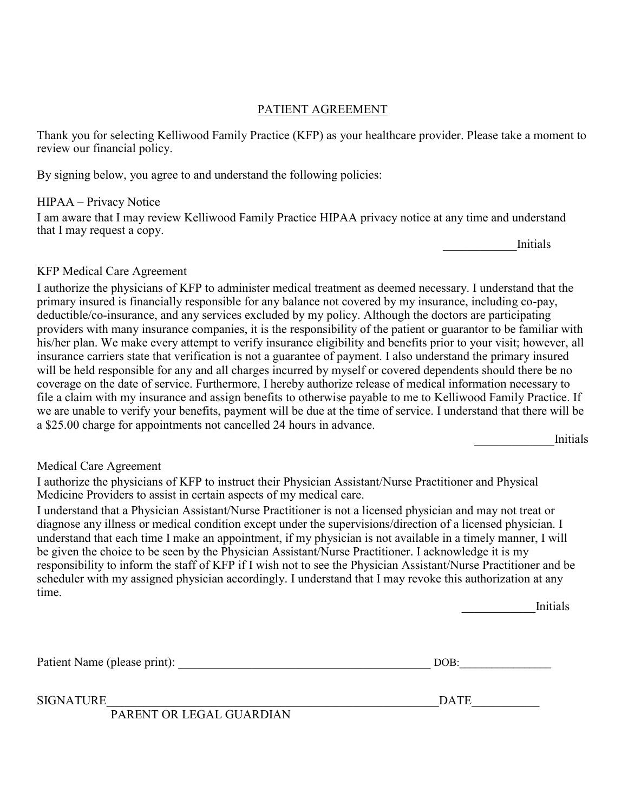### PATIENT AGREEMENT

Thank you for selecting Kelliwood Family Practice (KFP) as your healthcare provider. Please take a moment to review our financial policy.

By signing below, you agree to and understand the following policies:

#### HIPAA – Privacy Notice

I am aware that I may review Kelliwood Family Practice HIPAA privacy notice at any time and understand that I may request a copy.

\_\_\_\_\_\_\_\_\_\_\_\_Initials

#### KFP Medical Care Agreement

I authorize the physicians of KFP to administer medical treatment as deemed necessary. I understand that the primary insured is financially responsible for any balance not covered by my insurance, including co-pay, deductible/co-insurance, and any services excluded by my policy. Although the doctors are participating providers with many insurance companies, it is the responsibility of the patient or guarantor to be familiar with his/her plan. We make every attempt to verify insurance eligibility and benefits prior to your visit; however, all insurance carriers state that verification is not a guarantee of payment. I also understand the primary insured will be held responsible for any and all charges incurred by myself or covered dependents should there be no coverage on the date of service. Furthermore, I hereby authorize release of medical information necessary to file a claim with my insurance and assign benefits to otherwise payable to me to Kelliwood Family Practice. If we are unable to verify your benefits, payment will be due at the time of service. I understand that there will be a \$25.00 charge for appointments not cancelled 24 hours in advance.

\_\_\_\_\_\_\_\_\_\_\_\_\_Initials

## Medical Care Agreement

I authorize the physicians of KFP to instruct their Physician Assistant/Nurse Practitioner and Physical Medicine Providers to assist in certain aspects of my medical care.

I understand that a Physician Assistant/Nurse Practitioner is not a licensed physician and may not treat or diagnose any illness or medical condition except under the supervisions/direction of a licensed physician. I understand that each time I make an appointment, if my physician is not available in a timely manner, I will be given the choice to be seen by the Physician Assistant/Nurse Practitioner. I acknowledge it is my responsibility to inform the staff of KFP if I wish not to see the Physician Assistant/Nurse Practitioner and be scheduler with my assigned physician accordingly. I understand that I may revoke this authorization at any time.

\_\_\_\_\_\_\_\_\_\_\_\_Initials

Patient Name (please print): \_\_\_\_\_\_\_\_\_\_\_\_\_\_\_\_\_\_\_\_\_\_\_\_\_\_\_\_\_\_\_\_\_\_\_\_\_\_\_\_\_ DOB:\_\_\_\_\_\_\_\_\_\_\_\_\_\_\_\_\_

SIGNATURE DATE

PARENT OR LEGAL GUARDIAN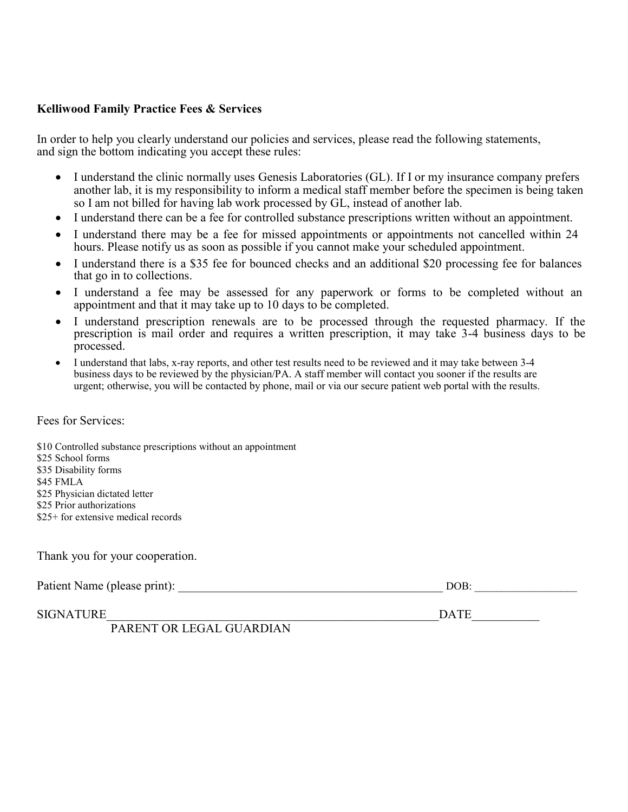#### **Kelliwood Family Practice Fees & Services**

In order to help you clearly understand our policies and services, please read the following statements, and sign the bottom indicating you accept these rules:

- I understand the clinic normally uses Genesis Laboratories (GL). If I or my insurance company prefers another lab, it is my responsibility to inform a medical staff member before the specimen is being taken so I am not billed for having lab work processed by GL, instead of another lab.
- I understand there can be a fee for controlled substance prescriptions written without an appointment.
- I understand there may be a fee for missed appointments or appointments not cancelled within 24 hours. Please notify us as soon as possible if you cannot make your scheduled appointment.
- I understand there is a \$35 fee for bounced checks and an additional \$20 processing fee for balances that go in to collections.
- I understand a fee may be assessed for any paperwork or forms to be completed without an appointment and that it may take up to 10 days to be completed.
- I understand prescription renewals are to be processed through the requested pharmacy. If the prescription is mail order and requires a written prescription, it may take 3-4 business days to be processed.
- I understand that labs, x-ray reports, and other test results need to be reviewed and it may take between 3-4 business days to be reviewed by the physician/PA. A staff member will contact you sooner if the results are urgent; otherwise, you will be contacted by phone, mail or via our secure patient web portal with the results.

#### Fees for Services:

\$10 Controlled substance prescriptions without an appointment \$25 School forms \$35 Disability forms \$45 FMLA \$25 Physician dictated letter \$25 Prior authorizations \$25+ for extensive medical records

Thank you for your cooperation.

| Patient Name (please print): | DOB |  |
|------------------------------|-----|--|
|                              |     |  |

SIGNATURE THE PROPERTY OF PARTICULAR CONSUMING THE PARTICULAR CONSUMING THE PARTICULAR CONSUMING THE PARTICULAR CONSUMING THE PARTICULAR CONSUMING THE PARTICULAR CONSUMING THE PARTICULAR CONSUMING THE PARTICULAR CONSUMING

PARENT OR LEGAL GUARDIAN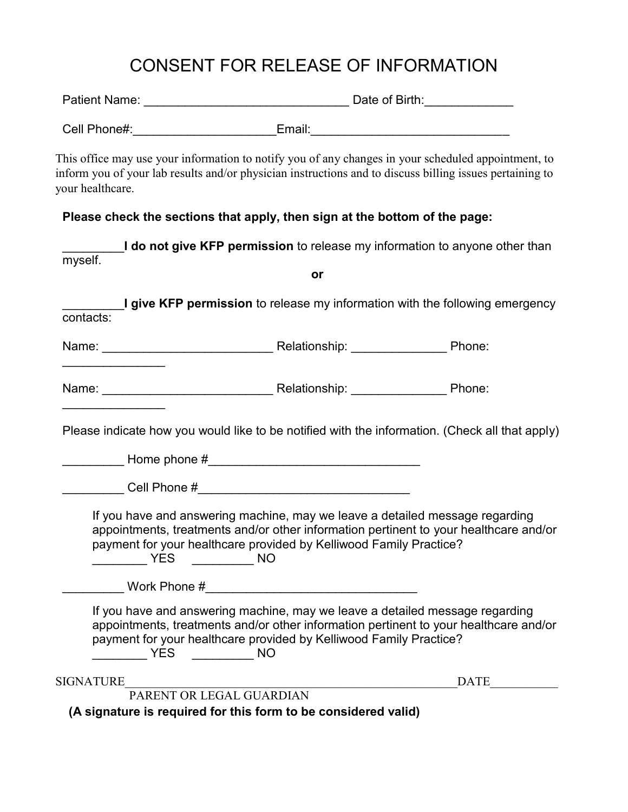# CONSENT FOR RELEASE OF INFORMATION

| <b>Patient Name:</b> |  | Date of Birth: |
|----------------------|--|----------------|
|----------------------|--|----------------|

| Cell Phone#: | Email: |  |
|--------------|--------|--|

This office may use your information to notify you of any changes in your scheduled appointment, to inform you of your lab results and/or physician instructions and to discuss billing issues pertaining to your healthcare.

## **Please check the sections that apply, then sign at the bottom of the page:**

| myself.                                                                                                                                                                                                                       |                          | I do not give KFP permission to release my information to anyone other than           |
|-------------------------------------------------------------------------------------------------------------------------------------------------------------------------------------------------------------------------------|--------------------------|---------------------------------------------------------------------------------------|
|                                                                                                                                                                                                                               | or                       |                                                                                       |
| contacts:                                                                                                                                                                                                                     |                          | I give KFP permission to release my information with the following emergency          |
| Name: Name: Name: Name: Name: Name: Name: Name: Name: Name: Name: Name: Name: Name: Name: Name: Name: Name: Name: Name: Name: Name: Name: Name: Name: Name: Name: Name: Name: Name: Name: Name: Name: Name: Name: Name: Name: |                          |                                                                                       |
| Name: Name: Name: Name: Name: Name: Name: Name: Name: Name: Name: Name: Name: Name: Name: Name: Name: Name: Name: Name: Name: Name: Name: Name: Name: Name: Name: Name: Name: Name: Name: Name: Name: Name: Name: Name: Name: |                          |                                                                                       |
| Please indicate how you would like to be notified with the information. (Check all that apply)                                                                                                                                |                          |                                                                                       |
|                                                                                                                                                                                                                               |                          |                                                                                       |
| Cell Phone # 2008 2009 2012 2022 2023 2024 2022 2023 2024 2022 2023 2024 2022 2023 2024 2022 2023 20                                                                                                                          |                          |                                                                                       |
| If you have and answering machine, may we leave a detailed message regarding<br>payment for your healthcare provided by Kelliwood Family Practice?<br>$\sqrt{YES}$ NO                                                         |                          | appointments, treatments and/or other information pertinent to your healthcare and/or |
|                                                                                                                                                                                                                               |                          |                                                                                       |
| If you have and answering machine, may we leave a detailed message regarding<br>payment for your healthcare provided by Kelliwood Family Practice?<br><b>EXAMPLE STATES STATES STATES</b>                                     |                          | appointments, treatments and/or other information pertinent to your healthcare and/or |
| SIGNATURE                                                                                                                                                                                                                     |                          | <b>DATE</b>                                                                           |
| (A signature is required for this form to be considered valid)                                                                                                                                                                | PARENT OR LEGAL GUARDIAN |                                                                                       |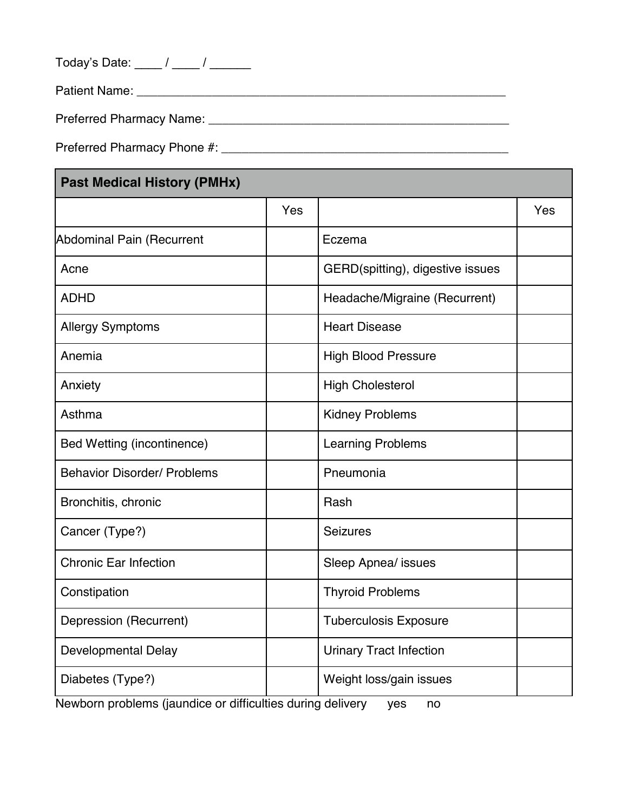Today's Date: \_\_\_\_ / \_\_\_\_ / \_\_\_\_\_

Patient Name: \_\_\_\_\_\_\_\_\_\_\_\_\_\_\_\_\_\_\_\_\_\_\_\_\_\_\_\_\_\_\_\_\_\_\_\_\_\_\_\_\_\_\_\_\_\_\_\_\_\_\_\_\_\_

Preferred Pharmacy Name: \_\_\_\_\_\_\_\_\_\_\_\_\_\_\_\_\_\_\_\_\_\_\_\_\_\_\_\_\_\_\_\_\_\_\_\_\_\_\_\_\_\_\_\_

Preferred Pharmacy Phone #: \_\_\_\_\_\_\_\_\_\_\_\_\_\_\_\_\_\_\_\_\_\_\_\_\_\_\_\_\_\_\_\_\_\_\_\_\_\_\_\_\_\_

## **Past Medical History (PMHx)**

| FASL MCUILAI IIISLUI Y (FIVIIIA)   |     |                                  |     |
|------------------------------------|-----|----------------------------------|-----|
|                                    | Yes |                                  | Yes |
| <b>Abdominal Pain (Recurrent</b>   |     | Eczema                           |     |
| Acne                               |     | GERD(spitting), digestive issues |     |
| <b>ADHD</b>                        |     | Headache/Migraine (Recurrent)    |     |
| <b>Allergy Symptoms</b>            |     | <b>Heart Disease</b>             |     |
| Anemia                             |     | <b>High Blood Pressure</b>       |     |
| Anxiety                            |     | <b>High Cholesterol</b>          |     |
| Asthma                             |     | <b>Kidney Problems</b>           |     |
| Bed Wetting (incontinence)         |     | <b>Learning Problems</b>         |     |
| <b>Behavior Disorder/ Problems</b> |     | Pneumonia                        |     |
| Bronchitis, chronic                |     | Rash                             |     |
| Cancer (Type?)                     |     | <b>Seizures</b>                  |     |
| <b>Chronic Ear Infection</b>       |     | Sleep Apnea/ issues              |     |
| Constipation                       |     | <b>Thyroid Problems</b>          |     |
| Depression (Recurrent)             |     | <b>Tuberculosis Exposure</b>     |     |
| <b>Developmental Delay</b>         |     | <b>Urinary Tract Infection</b>   |     |
| Diabetes (Type?)                   |     | Weight loss/gain issues          |     |

Newborn problems (jaundice or difficulties during delivery yes no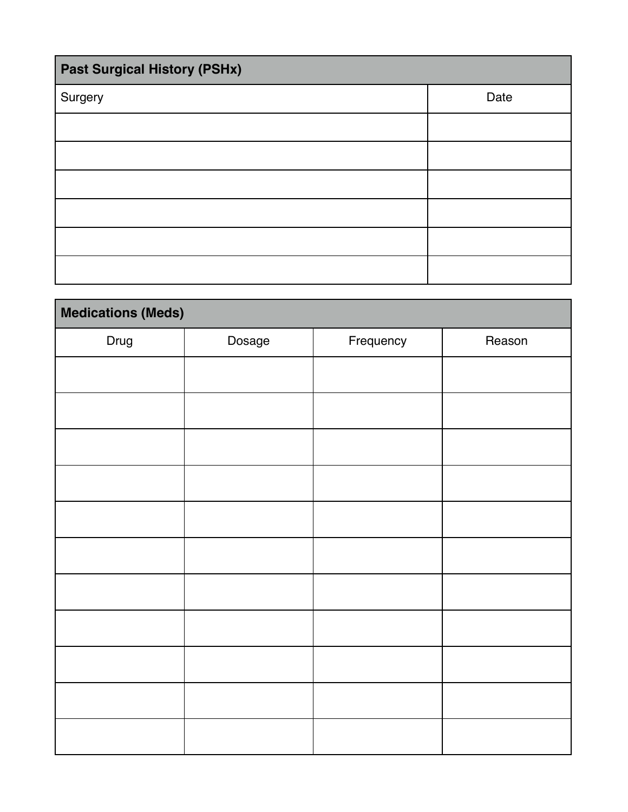| <b>Past Surgical History (PSHx)</b> |      |  |  |  |  |
|-------------------------------------|------|--|--|--|--|
| Surgery                             | Date |  |  |  |  |
|                                     |      |  |  |  |  |
|                                     |      |  |  |  |  |
|                                     |      |  |  |  |  |
|                                     |      |  |  |  |  |
|                                     |      |  |  |  |  |
|                                     |      |  |  |  |  |

| <b>Medications (Meds)</b> |        |           |        |  |  |  |  |  |
|---------------------------|--------|-----------|--------|--|--|--|--|--|
| Drug                      | Dosage | Frequency | Reason |  |  |  |  |  |
|                           |        |           |        |  |  |  |  |  |
|                           |        |           |        |  |  |  |  |  |
|                           |        |           |        |  |  |  |  |  |
|                           |        |           |        |  |  |  |  |  |
|                           |        |           |        |  |  |  |  |  |
|                           |        |           |        |  |  |  |  |  |
|                           |        |           |        |  |  |  |  |  |
|                           |        |           |        |  |  |  |  |  |
|                           |        |           |        |  |  |  |  |  |
|                           |        |           |        |  |  |  |  |  |
|                           |        |           |        |  |  |  |  |  |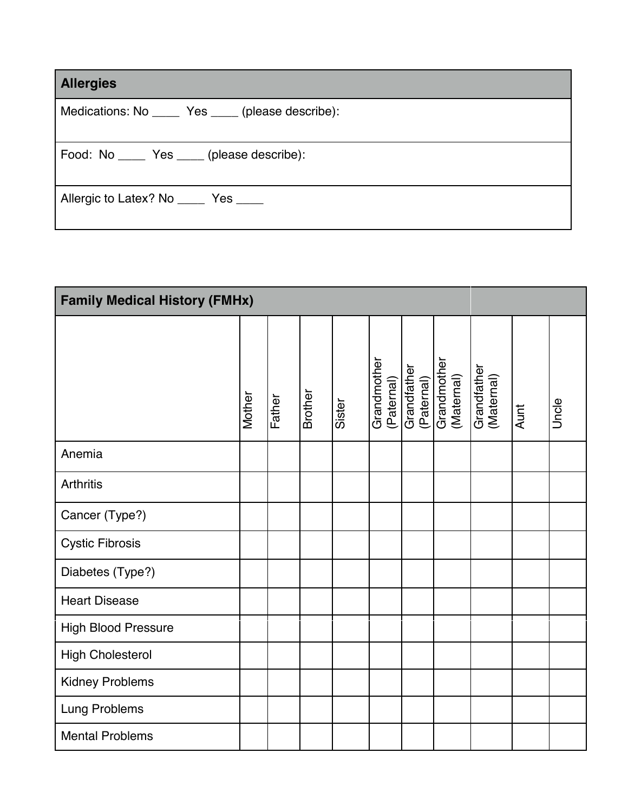| <b>Allergies</b>                                  |
|---------------------------------------------------|
| Medications: No _____ Yes ____ (please describe): |
| Food: No ______ Yes _____ (please describe):      |
| Allergic to Latex? No ______ Yes _____            |

| <b>Family Medical History (FMHx)</b> |        |        |                |        |                           |                           |                           |                           |      |       |
|--------------------------------------|--------|--------|----------------|--------|---------------------------|---------------------------|---------------------------|---------------------------|------|-------|
|                                      | Mother | Father | <b>Brother</b> | Sister | Grandmother<br>(Paternal) | Grandfather<br>(Paternal) | Grandmother<br>(Maternal) | Grandfather<br>(Maternal) | Aunt | Uncle |
| Anemia                               |        |        |                |        |                           |                           |                           |                           |      |       |
| <b>Arthritis</b>                     |        |        |                |        |                           |                           |                           |                           |      |       |
| Cancer (Type?)                       |        |        |                |        |                           |                           |                           |                           |      |       |
| <b>Cystic Fibrosis</b>               |        |        |                |        |                           |                           |                           |                           |      |       |
| Diabetes (Type?)                     |        |        |                |        |                           |                           |                           |                           |      |       |
| <b>Heart Disease</b>                 |        |        |                |        |                           |                           |                           |                           |      |       |
| <b>High Blood Pressure</b>           |        |        |                |        |                           |                           |                           |                           |      |       |
| <b>High Cholesterol</b>              |        |        |                |        |                           |                           |                           |                           |      |       |
| <b>Kidney Problems</b>               |        |        |                |        |                           |                           |                           |                           |      |       |
| Lung Problems                        |        |        |                |        |                           |                           |                           |                           |      |       |
| <b>Mental Problems</b>               |        |        |                |        |                           |                           |                           |                           |      |       |